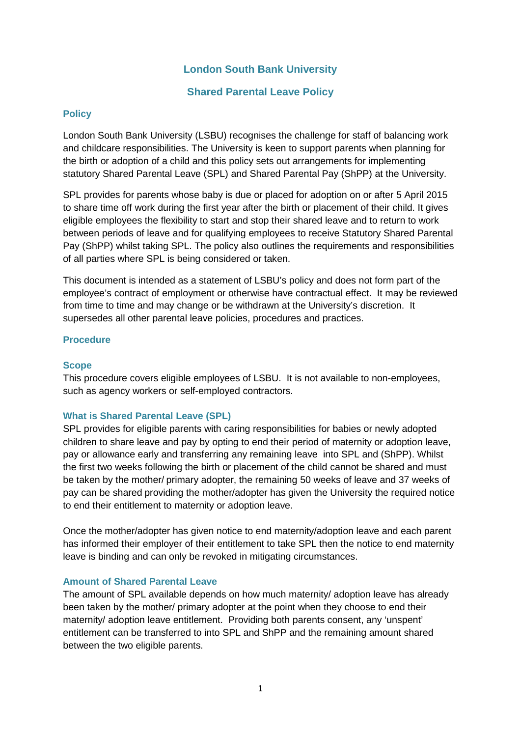## **London South Bank University**

## **Shared Parental Leave Policy**

## **Policy**

London South Bank University (LSBU) recognises the challenge for staff of balancing work and childcare responsibilities. The University is keen to support parents when planning for the birth or adoption of a child and this policy sets out arrangements for implementing statutory Shared Parental Leave (SPL) and Shared Parental Pay (ShPP) at the University.

SPL provides for parents whose baby is due or placed for adoption on or after 5 April 2015 to share time off work during the first year after the birth or placement of their child. It gives eligible employees the flexibility to start and stop their shared leave and to return to work between periods of leave and for qualifying employees to receive Statutory Shared Parental Pay (ShPP) whilst taking SPL. The policy also outlines the requirements and responsibilities of all parties where SPL is being considered or taken.

This document is intended as a statement of LSBU's policy and does not form part of the employee's contract of employment or otherwise have contractual effect. It may be reviewed from time to time and may change or be withdrawn at the University's discretion. It supersedes all other parental leave policies, procedures and practices.

## **Procedure**

## **Scope**

This procedure covers eligible employees of LSBU. It is not available to non-employees, such as agency workers or self-employed contractors.

## **What is Shared Parental Leave (SPL)**

SPL provides for eligible parents with caring responsibilities for babies or newly adopted children to share leave and pay by opting to end their period of maternity or adoption leave, pay or allowance early and transferring any remaining leave into SPL and (ShPP). Whilst the first two weeks following the birth or placement of the child cannot be shared and must be taken by the mother/ primary adopter, the remaining 50 weeks of leave and 37 weeks of pay can be shared providing the mother/adopter has given the University the required notice to end their entitlement to maternity or adoption leave.

Once the mother/adopter has given notice to end maternity/adoption leave and each parent has informed their employer of their entitlement to take SPL then the notice to end maternity leave is binding and can only be revoked in mitigating circumstances.

#### **Amount of Shared Parental Leave**

The amount of SPL available depends on how much maternity/ adoption leave has already been taken by the mother/ primary adopter at the point when they choose to end their maternity/ adoption leave entitlement. Providing both parents consent, any 'unspent' entitlement can be transferred to into SPL and ShPP and the remaining amount shared between the two eligible parents.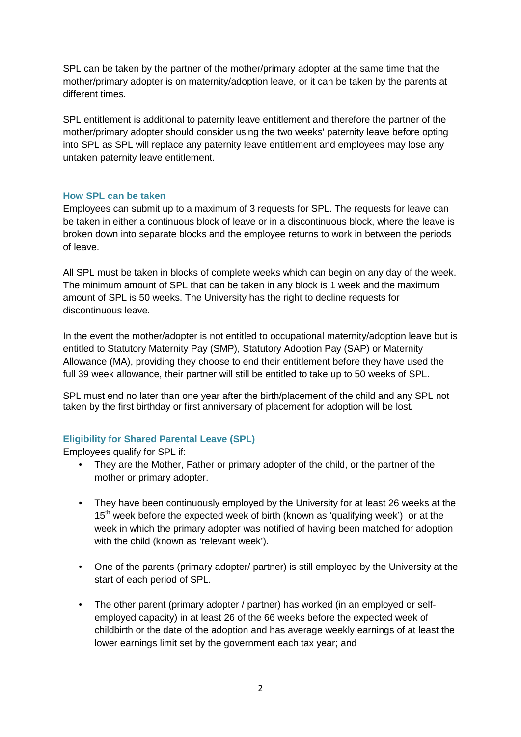SPL can be taken by the partner of the mother/primary adopter at the same time that the mother/primary adopter is on maternity/adoption leave, or it can be taken by the parents at different times.

SPL entitlement is additional to paternity leave entitlement and therefore the partner of the mother/primary adopter should consider using the two weeks' paternity leave before opting into SPL as SPL will replace any paternity leave entitlement and employees may lose any untaken paternity leave entitlement.

## **How SPL can be taken**

Employees can submit up to a maximum of 3 requests for SPL. The requests for leave can be taken in either a continuous block of leave or in a discontinuous block, where the leave is broken down into separate blocks and the employee returns to work in between the periods of leave.

All SPL must be taken in blocks of complete weeks which can begin on any day of the week. The minimum amount of SPL that can be taken in any block is 1 week and the maximum amount of SPL is 50 weeks. The University has the right to decline requests for discontinuous leave.

In the event the mother/adopter is not entitled to occupational maternity/adoption leave but is entitled to Statutory Maternity Pay (SMP), Statutory Adoption Pay (SAP) or Maternity Allowance (MA), providing they choose to end their entitlement before they have used the full 39 week allowance, their partner will still be entitled to take up to 50 weeks of SPL.

SPL must end no later than one year after the birth/placement of the child and any SPL not taken by the first birthday or first anniversary of placement for adoption will be lost.

## **Eligibility for Shared Parental Leave (SPL)**

Employees qualify for SPL if:

- They are the Mother, Father or primary adopter of the child, or the partner of the mother or primary adopter.
- They have been continuously employed by the University for at least 26 weeks at the 15<sup>th</sup> week before the expected week of birth (known as 'qualifying week') or at the week in which the primary adopter was notified of having been matched for adoption with the child (known as 'relevant week').
- One of the parents (primary adopter/ partner) is still employed by the University at the start of each period of SPL.
- The other parent (primary adopter / partner) has worked (in an employed or selfemployed capacity) in at least 26 of the 66 weeks before the expected week of childbirth or the date of the adoption and has average weekly earnings of at least the lower earnings limit set by the government each tax year; and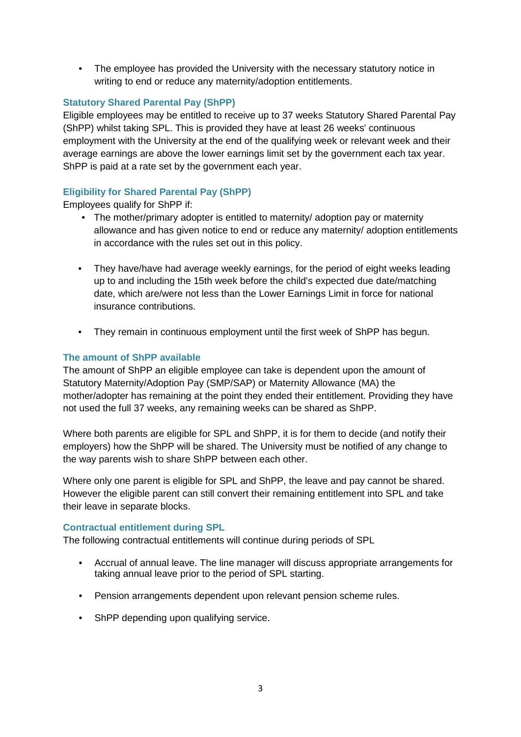• The employee has provided the University with the necessary statutory notice in writing to end or reduce any maternity/adoption entitlements.

## **Statutory Shared Parental Pay (ShPP)**

Eligible employees may be entitled to receive up to 37 weeks Statutory Shared Parental Pay (ShPP) whilst taking SPL. This is provided they have at least 26 weeks' continuous employment with the University at the end of the qualifying week or relevant week and their average earnings are above the lower earnings limit set by the government each tax year. ShPP is paid at a rate set by the government each year.

## **Eligibility for Shared Parental Pay (ShPP)**

Employees qualify for ShPP if:

- The mother/primary adopter is entitled to maternity/ adoption pay or maternity allowance and has given notice to end or reduce any maternity/ adoption entitlements in accordance with the rules set out in this policy.
- They have/have had average weekly earnings, for the period of eight weeks leading up to and including the 15th week before the child's expected due date/matching date, which are/were not less than the Lower Earnings Limit in force for national insurance contributions.
- They remain in continuous employment until the first week of ShPP has begun.

## **The amount of ShPP available**

The amount of ShPP an eligible employee can take is dependent upon the amount of Statutory Maternity/Adoption Pay (SMP/SAP) or Maternity Allowance (MA) the mother/adopter has remaining at the point they ended their entitlement. Providing they have not used the full 37 weeks, any remaining weeks can be shared as ShPP.

Where both parents are eligible for SPL and ShPP, it is for them to decide (and notify their employers) how the ShPP will be shared. The University must be notified of any change to the way parents wish to share ShPP between each other.

Where only one parent is eligible for SPL and ShPP, the leave and pay cannot be shared. However the eligible parent can still convert their remaining entitlement into SPL and take their leave in separate blocks.

## **Contractual entitlement during SPL**

The following contractual entitlements will continue during periods of SPL

- Accrual of annual leave. The line manager will discuss appropriate arrangements for taking annual leave prior to the period of SPL starting.
- Pension arrangements dependent upon relevant pension scheme rules.
- ShPP depending upon qualifying service.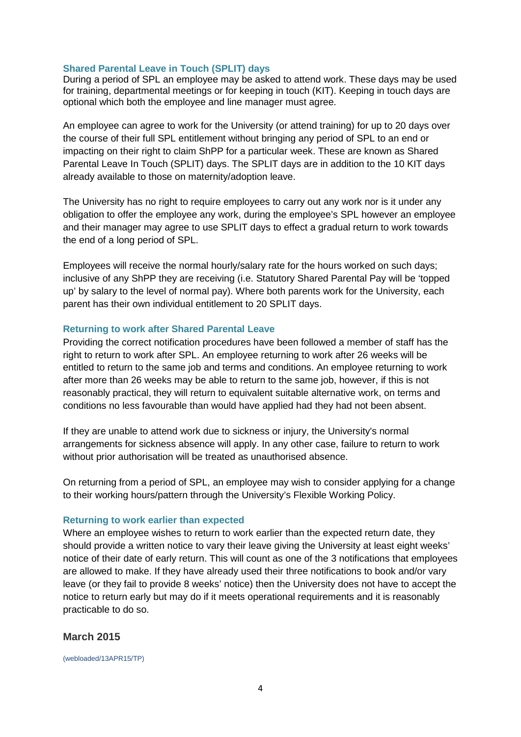#### **Shared Parental Leave in Touch (SPLIT) days**

During a period of SPL an employee may be asked to attend work. These days may be used for training, departmental meetings or for keeping in touch (KIT). Keeping in touch days are optional which both the employee and line manager must agree.

An employee can agree to work for the University (or attend training) for up to 20 days over the course of their full SPL entitlement without bringing any period of SPL to an end or impacting on their right to claim ShPP for a particular week. These are known as Shared Parental Leave In Touch (SPLIT) days. The SPLIT days are in addition to the 10 KIT days already available to those on maternity/adoption leave.

The University has no right to require employees to carry out any work nor is it under any obligation to offer the employee any work, during the employee's SPL however an employee and their manager may agree to use SPLIT days to effect a gradual return to work towards the end of a long period of SPL.

Employees will receive the normal hourly/salary rate for the hours worked on such days; inclusive of any ShPP they are receiving (i.e. Statutory Shared Parental Pay will be 'topped up' by salary to the level of normal pay). Where both parents work for the University, each parent has their own individual entitlement to 20 SPLIT days.

#### **Returning to work after Shared Parental Leave**

Providing the correct notification procedures have been followed a member of staff has the right to return to work after SPL. An employee returning to work after 26 weeks will be entitled to return to the same job and terms and conditions. An employee returning to work after more than 26 weeks may be able to return to the same job, however, if this is not reasonably practical, they will return to equivalent suitable alternative work, on terms and conditions no less favourable than would have applied had they had not been absent.

If they are unable to attend work due to sickness or injury, the University's normal arrangements for [sickness](http://www.gla.ac.uk/services/humanresources/all/health/sicknessabsence/) absence will apply. In any other case, failure to return to work without prior authorisation will be treated as unauthorised absence.

On returning from a period of SPL, an employee may wish to consider applying for a change to their working hours/pattern through the University's Flexible Working Policy.

#### **Returning to work earlier than expected**

Where an employee wishes to return to work earlier than the expected return date, they should provide a written notice to vary their leave giving the University at least eight weeks' notice of their date of early return. This will count as one of the 3 notifications that employees are allowed to make. If they have already used their three notifications to book and/or vary leave (or they fail to provide 8 weeks' notice) then the University does not have to accept the notice to return early but may do if it meets operational requirements and it is reasonably practicable to do so.

#### **March 2015**

(webloaded/13APR15/TP)